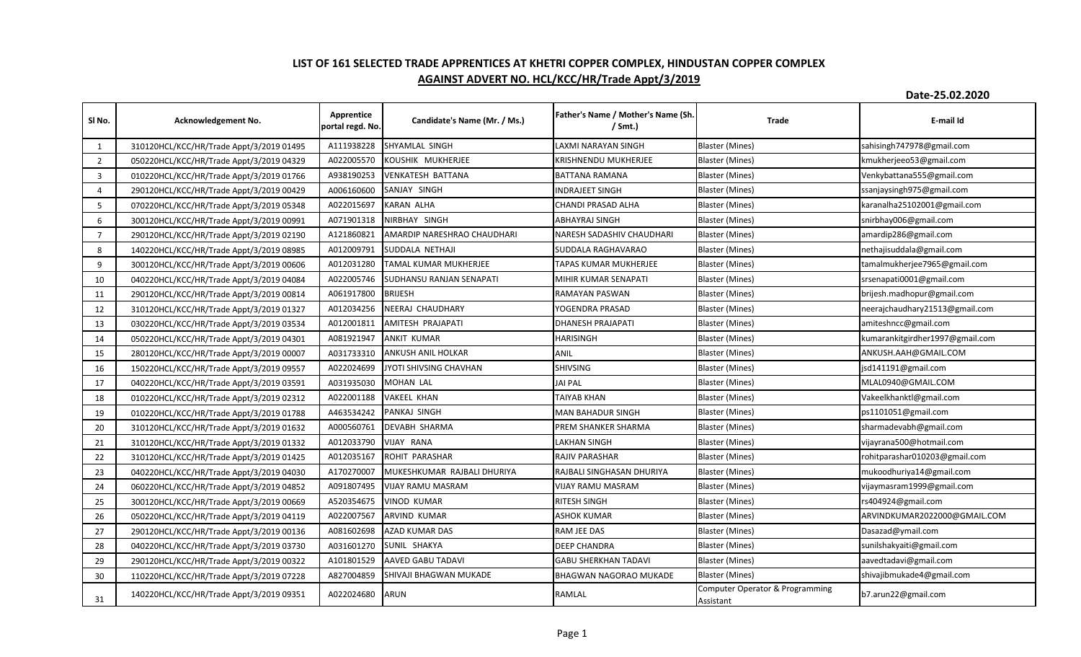## **LIST OF 161 SELECTED TRADE APPRENTICES AT KHETRI COPPER COMPLEX, HINDUSTAN COPPER COMPLEX AGAINST ADVERT NO. HCL/KCC/HR/Trade Appt/3/2019**

**Date-25.02.2020**

| SINo.          | Acknowledgement No.                      | Apprentice<br>portal regd. No. | Candidate's Name (Mr. / Ms.)    | Father's Name / Mother's Name (Sh.<br>$/$ Smt.) | Trade                                        | E-mail Id                       |
|----------------|------------------------------------------|--------------------------------|---------------------------------|-------------------------------------------------|----------------------------------------------|---------------------------------|
| 1              | 310120HCL/KCC/HR/Trade Appt/3/2019 01495 | A111938228                     | SHYAMLAL SINGH                  | LAXMI NARAYAN SINGH                             | <b>Blaster (Mines)</b>                       | sahisingh747978@gmail.com       |
| $\overline{2}$ | 050220HCL/KCC/HR/Trade Appt/3/2019 04329 | A022005570                     | KOUSHIK MUKHERJEE               | KRISHNENDU MUKHERJEE                            | <b>Blaster (Mines)</b>                       | kmukherjeeo53@gmail.com         |
| 3              | 010220HCL/KCC/HR/Trade Appt/3/2019 01766 | A938190253                     | <b>VENKATESH BATTANA</b>        | <b>BATTANA RAMANA</b>                           | <b>Blaster (Mines)</b>                       | Venkybattana555@gmail.com       |
| $\overline{4}$ | 290120HCL/KCC/HR/Trade Appt/3/2019 00429 | A006160600                     | SANJAY SINGH                    | <b>INDRAJEET SINGH</b>                          | <b>Blaster (Mines)</b>                       | ssanjaysingh975@gmail.com       |
| 5              | 070220HCL/KCC/HR/Trade Appt/3/2019 05348 | A022015697                     | <b>KARAN ALHA</b>               | CHANDI PRASAD ALHA                              | <b>Blaster (Mines)</b>                       | karanalha25102001@gmail.com     |
| 6              | 300120HCL/KCC/HR/Trade Appt/3/2019 00991 | A071901318                     | NIRBHAY SINGH                   | ABHAYRAJ SINGH                                  | <b>Blaster (Mines)</b>                       | snirbhay006@gmail.com           |
| $\overline{7}$ | 290120HCL/KCC/HR/Trade Appt/3/2019 02190 | A121860821                     | AMARDIP NARESHRAO CHAUDHARI     | NARESH SADASHIV CHAUDHARI                       | <b>Blaster (Mines)</b>                       | amardip286@gmail.com            |
| 8              | 140220HCL/KCC/HR/Trade Appt/3/2019 08985 | A012009791                     | SUDDALA NETHAJI                 | SUDDALA RAGHAVARAO                              | <b>Blaster (Mines)</b>                       | nethajisuddala@gmail.com        |
| 9              | 300120HCL/KCC/HR/Trade Appt/3/2019 00606 | A012031280                     | <b>TAMAL KUMAR MUKHERJEE</b>    | TAPAS KUMAR MUKHERJEE                           | <b>Blaster (Mines)</b>                       | tamalmukherjee7965@gmail.com    |
| 10             | 040220HCL/KCC/HR/Trade Appt/3/2019 04084 | A022005746                     | <b>SUDHANSU RANJAN SENAPATI</b> | MIHIR KUMAR SENAPATI                            | <b>Blaster (Mines)</b>                       | srsenapati0001@gmail.com        |
| 11             | 290120HCL/KCC/HR/Trade Appt/3/2019 00814 | A061917800                     | <b>BRIJESH</b>                  | RAMAYAN PASWAN                                  | <b>Blaster (Mines)</b>                       | brijesh.madhopur@gmail.com      |
| 12             | 310120HCL/KCC/HR/Trade Appt/3/2019 01327 | A012034256                     | NEERAJ CHAUDHARY                | YOGENDRA PRASAD                                 | <b>Blaster (Mines)</b>                       | neerajchaudhary21513@gmail.com  |
| 13             | 030220HCL/KCC/HR/Trade Appt/3/2019 03534 | A012001811                     | AMITESH PRAJAPATI               | <b>DHANESH PRAJAPATI</b>                        | Blaster (Mines)                              | amiteshncc@gmail.com            |
| 14             | 050220HCL/KCC/HR/Trade Appt/3/2019 04301 | A081921947                     | <b>ANKIT KUMAR</b>              | <b>HARISINGH</b>                                | <b>Blaster (Mines)</b>                       | kumarankitgirdher1997@gmail.com |
| 15             | 280120HCL/KCC/HR/Trade Appt/3/2019 00007 | A031733310                     | ANKUSH ANIL HOLKAR              | ANIL                                            | Blaster (Mines)                              | ANKUSH.AAH@GMAIL.COM            |
| 16             | 150220HCL/KCC/HR/Trade Appt/3/2019 09557 | A022024699                     | JYOTI SHIVSING CHAVHAN          | <b>SHIVSING</b>                                 | <b>Blaster (Mines)</b>                       | jsd141191@gmail.com             |
| 17             | 040220HCL/KCC/HR/Trade Appt/3/2019 03591 | A031935030                     | <b>MOHAN LAL</b>                | <b>JAI PAL</b>                                  | <b>Blaster (Mines)</b>                       | MLAL0940@GMAIL.COM              |
| 18             | 010220HCL/KCC/HR/Trade Appt/3/2019 02312 | A022001188                     | <b>VAKEEL KHAN</b>              | TAIYAB KHAN                                     | <b>Blaster (Mines)</b>                       | Vakeelkhanktl@gmail.com         |
| 19             | 010220HCL/KCC/HR/Trade Appt/3/2019 01788 | A463534242                     | PANKAJ SINGH                    | MAN BAHADUR SINGH                               | <b>Blaster (Mines)</b>                       | ps1101051@gmail.com             |
| 20             | 310120HCL/KCC/HR/Trade Appt/3/2019 01632 | A000560761                     | <b>DEVABH SHARMA</b>            | PREM SHANKER SHARMA                             | Blaster (Mines)                              | sharmadevabh@gmail.com          |
| 21             | 310120HCL/KCC/HR/Trade Appt/3/2019 01332 | A012033790                     | VIJAY RANA                      | LAKHAN SINGH                                    | <b>Blaster (Mines)</b>                       | vijayrana500@hotmail.com        |
| 22             | 310120HCL/KCC/HR/Trade Appt/3/2019 01425 | A012035167                     | ROHIT PARASHAR                  | <b>RAJIV PARASHAR</b>                           | <b>Blaster (Mines)</b>                       | rohitparashar010203@gmail.com   |
| 23             | 040220HCL/KCC/HR/Trade Appt/3/2019 04030 | A170270007                     | MUKESHKUMAR RAJBALI DHURIYA     | RAJBALI SINGHASAN DHURIYA                       | <b>Blaster (Mines)</b>                       | mukoodhuriya14@gmail.com        |
| 24             | 060220HCL/KCC/HR/Trade Appt/3/2019 04852 | A091807495                     | <b>VIJAY RAMU MASRAM</b>        | VIJAY RAMU MASRAM                               | <b>Blaster (Mines)</b>                       | vijaymasram1999@gmail.com       |
| 25             | 300120HCL/KCC/HR/Trade Appt/3/2019 00669 | A520354675                     | <b>VINOD KUMAR</b>              | RITESH SINGH                                    | <b>Blaster (Mines)</b>                       | rs404924@gmail.com              |
| 26             | 050220HCL/KCC/HR/Trade Appt/3/2019 04119 | A022007567                     | <b>ARVIND KUMAR</b>             | ASHOK KUMAR                                     | <b>Blaster (Mines)</b>                       | ARVINDKUMAR2022000@GMAIL.COM    |
| 27             | 290120HCL/KCC/HR/Trade Appt/3/2019 00136 | A081602698                     | AZAD KUMAR DAS                  | RAM JEE DAS                                     | <b>Blaster (Mines)</b>                       | Dasazad@ymail.com               |
| 28             | 040220HCL/KCC/HR/Trade Appt/3/2019 03730 | A031601270                     | SUNIL SHAKYA                    | <b>DEEP CHANDRA</b>                             | <b>Blaster (Mines)</b>                       | sunilshakyaiti@gmail.com        |
| 29             | 290120HCL/KCC/HR/Trade Appt/3/2019 00322 | A101801529                     | AAVED GABU TADAVI               | <b>GABU SHERKHAN TADAVI</b>                     | <b>Blaster (Mines)</b>                       | aavedtadavi@gmail.com           |
| 30             | 110220HCL/KCC/HR/Trade Appt/3/2019 07228 | A827004859                     | SHIVAJI BHAGWAN MUKADE          | BHAGWAN NAGORAO MUKADE                          | <b>Blaster (Mines)</b>                       | shivajibmukade4@gmail.com       |
| 31             | 140220HCL/KCC/HR/Trade Appt/3/2019 09351 | A022024680                     | <b>ARUN</b>                     | RAMLAL                                          | Computer Operator & Programming<br>Assistant | b7.arun22@gmail.com             |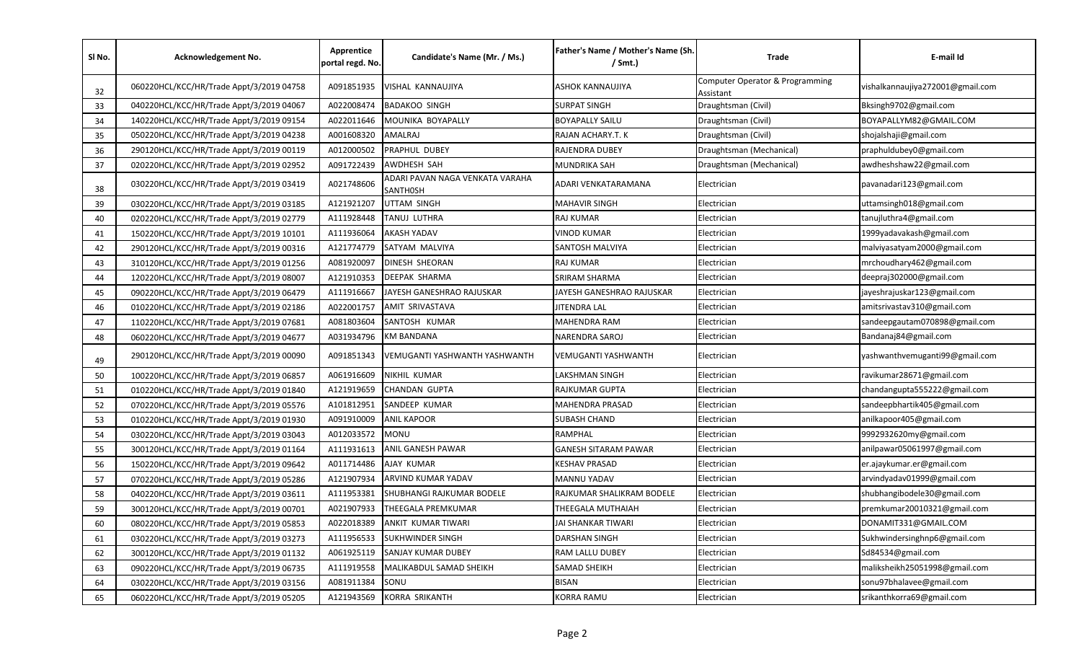| SI No. | Acknowledgement No.                      | Apprentice<br>portal regd. No. | Candidate's Name (Mr. / Ms.)                       | Father's Name / Mother's Name (Sh.<br>$/$ Smt.) | Trade                                        | E-mail Id                        |
|--------|------------------------------------------|--------------------------------|----------------------------------------------------|-------------------------------------------------|----------------------------------------------|----------------------------------|
| 32     | 060220HCL/KCC/HR/Trade Appt/3/2019 04758 | A091851935                     | VISHAL KANNAUJIYA                                  | ASHOK KANNAUJIYA                                | Computer Operator & Programming<br>Assistant | vishalkannaujiya272001@gmail.com |
| 33     | 040220HCL/KCC/HR/Trade Appt/3/2019 04067 | A022008474                     | <b>BADAKOO SINGH</b>                               | <b>SURPAT SINGH</b>                             | Draughtsman (Civil)                          | Bksingh9702@gmail.com            |
| 34     | 140220HCL/KCC/HR/Trade Appt/3/2019 09154 | A022011646                     | MOUNIKA BOYAPALLY                                  | <b>BOYAPALLY SAILU</b>                          | Draughtsman (Civil)                          | BOYAPALLYM82@GMAIL.COM           |
| 35     | 050220HCL/KCC/HR/Trade Appt/3/2019 04238 | A001608320                     | AMALRAJ                                            | RAJAN ACHARY.T. K                               | Draughtsman (Civil)                          | shojalshaji@gmail.com            |
| 36     | 290120HCL/KCC/HR/Trade Appt/3/2019 00119 | A012000502                     | PRAPHUL DUBEY                                      | RAJENDRA DUBEY                                  | Draughtsman (Mechanical)                     | praphuldubey0@gmail.com          |
| 37     | 020220HCL/KCC/HR/Trade Appt/3/2019 02952 | A091722439                     | AWDHESH SAH                                        | MUNDRIKA SAH                                    | Draughtsman (Mechanical)                     | awdheshshaw22@gmail.com          |
| 38     | 030220HCL/KCC/HR/Trade Appt/3/2019 03419 | A021748606                     | ADARI PAVAN NAGA VENKATA VARAHA<br><b>SANTHOSH</b> | ADARI VENKATARAMANA                             | Electrician                                  | pavanadari123@gmail.com          |
| 39     | 030220HCL/KCC/HR/Trade Appt/3/2019 03185 | A121921207                     | UTTAM SINGH                                        | MAHAVIR SINGH                                   | Electrician                                  | uttamsingh018@gmail.com          |
| 40     | 020220HCL/KCC/HR/Trade Appt/3/2019 02779 | A111928448                     | <b>TANUJ LUTHRA</b>                                | RAJ KUMAR                                       | Electrician                                  | tanujluthra4@gmail.com           |
| 41     | 150220HCL/KCC/HR/Trade Appt/3/2019 10101 | A111936064                     | <b>AKASH YADAV</b>                                 | VINOD KUMAR                                     | Electrician                                  | 1999yadavakash@gmail.com         |
| 42     | 290120HCL/KCC/HR/Trade Appt/3/2019 00316 | A121774779                     | SATYAM MALVIYA                                     | SANTOSH MALVIYA                                 | Electrician                                  | malviyasatyam2000@gmail.com      |
| 43     | 310120HCL/KCC/HR/Trade Appt/3/2019 01256 | A081920097                     | <b>DINESH SHEORAN</b>                              | RAJ KUMAR                                       | Electrician                                  | mrchoudhary462@gmail.com         |
| 44     | 120220HCL/KCC/HR/Trade Appt/3/2019 08007 | A121910353                     | DEEPAK SHARMA                                      | SRIRAM SHARMA                                   | Electrician                                  | deepraj302000@gmail.com          |
| 45     | 090220HCL/KCC/HR/Trade Appt/3/2019 06479 | A111916667                     | JAYESH GANESHRAO RAJUSKAR                          | JAYESH GANESHRAO RAJUSKAR                       | Electrician                                  | jayeshrajuskar123@gmail.com      |
| 46     | 010220HCL/KCC/HR/Trade Appt/3/2019 02186 | A022001757                     | <b>AMIT SRIVASTAVA</b>                             | JITENDRA LAL                                    | Electrician                                  | amitsrivastav310@gmail.com       |
| 47     | 110220HCL/KCC/HR/Trade Appt/3/2019 07681 | A081803604                     | SANTOSH KUMAR                                      | MAHENDRA RAM                                    | Electrician                                  | sandeepgautam070898@gmail.com    |
| 48     | 060220HCL/KCC/HR/Trade Appt/3/2019 04677 | A031934796                     | <b>KM BANDANA</b>                                  | NARENDRA SAROJ                                  | Electrician                                  | Bandanaj84@gmail.com             |
| 49     | 290120HCL/KCC/HR/Trade Appt/3/2019 00090 | A091851343                     | VEMUGANTI YASHWANTH YASHWANTH                      | VEMUGANTI YASHWANTH                             | Electrician                                  | yashwanthvemuganti99@gmail.com   |
| 50     | 100220HCL/KCC/HR/Trade Appt/3/2019 06857 | A061916609                     | NIKHIL KUMAR                                       | LAKSHMAN SINGH                                  | Electrician                                  | ravikumar28671@gmail.com         |
| 51     | 010220HCL/KCC/HR/Trade Appt/3/2019 01840 | A121919659                     | <b>CHANDAN GUPTA</b>                               | RAJKUMAR GUPTA                                  | Electrician                                  | chandangupta555222@gmail.com     |
| 52     | 070220HCL/KCC/HR/Trade Appt/3/2019 05576 | A101812951                     | SANDEEP KUMAR                                      | MAHENDRA PRASAD                                 | Electrician                                  | sandeepbhartik405@gmail.com      |
| 53     | 010220HCL/KCC/HR/Trade Appt/3/2019 01930 | A091910009                     | <b>ANIL KAPOOR</b>                                 | SUBASH CHAND                                    | Electrician                                  | anilkapoor405@gmail.com          |
| 54     | 030220HCL/KCC/HR/Trade Appt/3/2019 03043 | A012033572                     | MONU                                               | RAMPHAL                                         | Electrician                                  | 9992932620my@gmail.com           |
| 55     | 300120HCL/KCC/HR/Trade Appt/3/2019 01164 | A111931613                     | ANIL GANESH PAWAR                                  | <b>GANESH SITARAM PAWAR</b>                     | Electrician                                  | anilpawar05061997@gmail.com      |
| 56     | 150220HCL/KCC/HR/Trade Appt/3/2019 09642 | A011714486                     | AJAY KUMAR                                         | KESHAV PRASAD                                   | Electrician                                  | er.ajaykumar.er@gmail.com        |
| 57     | 070220HCL/KCC/HR/Trade Appt/3/2019 05286 | A121907934                     | ARVIND KUMAR YADAV                                 | <b>MANNU YADAV</b>                              | Electrician                                  | arvindyadav01999@gmail.com       |
| 58     | 040220HCL/KCC/HR/Trade Appt/3/2019 03611 | A111953381                     | <b>SHUBHANGI RAJKUMAR BODELE</b>                   | RAJKUMAR SHALIKRAM BODELE                       | Electrician                                  | shubhangibodele30@gmail.com      |
| 59     | 300120HCL/KCC/HR/Trade Appt/3/2019 00701 | A021907933                     | <b>THEEGALA PREMKUMAR</b>                          | THEEGALA MUTHAIAH                               | Electrician                                  | premkumar20010321@gmail.com      |
| 60     | 080220HCL/KCC/HR/Trade Appt/3/2019 05853 | A022018389                     | ANKIT KUMAR TIWARI                                 | JAI SHANKAR TIWARI                              | Electrician                                  | DONAMIT331@GMAIL.COM             |
| 61     | 030220HCL/KCC/HR/Trade Appt/3/2019 03273 | A111956533                     | <b>SUKHWINDER SINGH</b>                            | DARSHAN SINGH                                   | Electrician                                  | Sukhwindersinghnp6@gmail.com     |
| 62     | 300120HCL/KCC/HR/Trade Appt/3/2019 01132 | A061925119                     | <b>SANJAY KUMAR DUBEY</b>                          | RAM LALLU DUBEY                                 | Electrician                                  | Sd84534@gmail.com                |
| 63     | 090220HCL/KCC/HR/Trade Appt/3/2019 06735 | A111919558                     | MALIKABDUL SAMAD SHEIKH                            | SAMAD SHEIKH                                    | Electrician                                  | maliksheikh25051998@gmail.com    |
| 64     | 030220HCL/KCC/HR/Trade Appt/3/2019 03156 | A081911384                     | SONU                                               | <b>BISAN</b>                                    | Electrician                                  | sonu97bhalavee@gmail.com         |
| 65     | 060220HCL/KCC/HR/Trade Appt/3/2019 05205 | A121943569                     | KORRA SRIKANTH                                     | <b>KORRA RAMU</b>                               | Electrician                                  | srikanthkorra69@gmail.com        |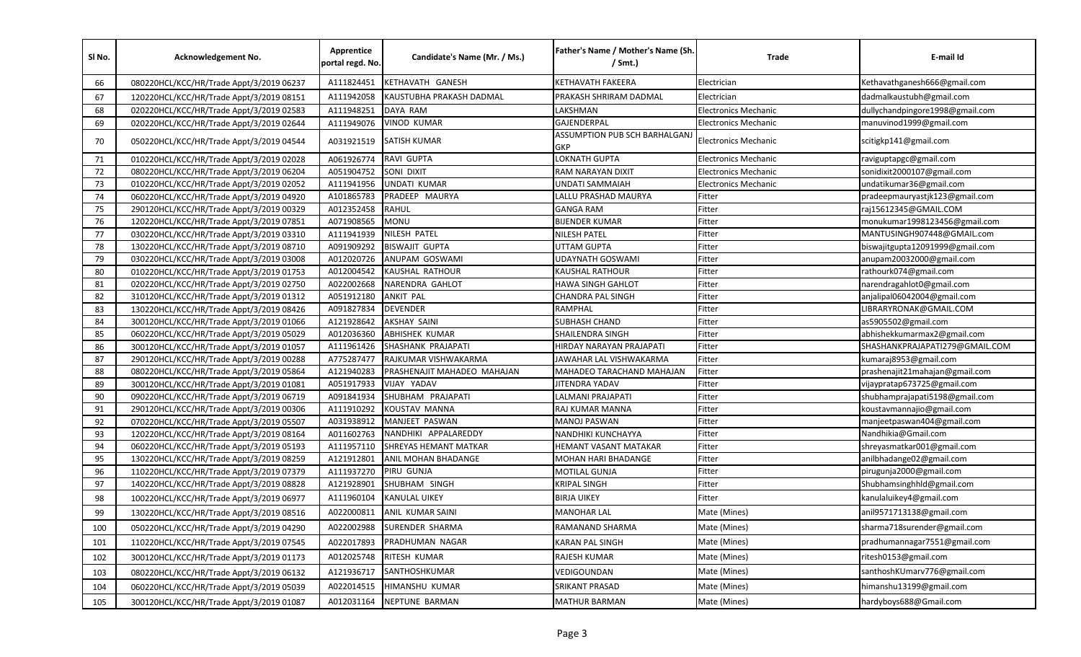| SI No. | Acknowledgement No.                      | Apprentice<br>portal regd. No. | Candidate's Name (Mr. / Ms.) | Father's Name / Mother's Name (Sh.<br>$/$ Smt.) | Trade                       | E-mail Id                       |
|--------|------------------------------------------|--------------------------------|------------------------------|-------------------------------------------------|-----------------------------|---------------------------------|
| 66     | 080220HCL/KCC/HR/Trade Appt/3/2019 06237 | A111824451                     | KETHAVATH GANESH             | KETHAVATH FAKEERA                               | Electrician                 | Kethavathganesh666@gmail.com    |
| 67     | 120220HCL/KCC/HR/Trade Appt/3/2019 08151 | A111942058                     | KAUSTUBHA PRAKASH DADMAL     | PRAKASH SHRIRAM DADMAL                          | Electrician                 | dadmalkaustubh@gmail.com        |
| 68     | 020220HCL/KCC/HR/Trade Appt/3/2019 02583 | A111948251                     | DAYA RAM                     | LAKSHMAN                                        | <b>Electronics Mechanic</b> | dullychandpingore1998@gmail.com |
| 69     | 020220HCL/KCC/HR/Trade Appt/3/2019 02644 | A111949076                     | <b>VINOD KUMAR</b>           | GAJENDERPAL                                     | <b>Electronics Mechanic</b> | manuvinod1999@gmail.com         |
| 70     | 050220HCL/KCC/HR/Trade Appt/3/2019 04544 | A031921519                     | <b>SATISH KUMAR</b>          | ASSUMPTION PUB SCH BARHALGANJ<br>GKP            | <b>Electronics Mechanic</b> | scitigkp141@gmail.com           |
| 71     | 010220HCL/KCC/HR/Trade Appt/3/2019 02028 | A061926774                     | RAVI GUPTA                   | LOKNATH GUPTA                                   | <b>Electronics Mechanic</b> | raviguptapgc@gmail.com          |
| 72     | 080220HCL/KCC/HR/Trade Appt/3/2019 06204 | A051904752                     | SONI DIXIT                   | RAM NARAYAN DIXIT                               | <b>Electronics Mechanic</b> | sonidixit2000107@gmail.com      |
| 73     | 010220HCL/KCC/HR/Trade Appt/3/2019 02052 | A111941956                     | UNDATI KUMAR                 | UNDATI SAMMAIAH                                 | <b>Electronics Mechanic</b> | undatikumar36@gmail.com         |
| 74     | 060220HCL/KCC/HR/Trade Appt/3/2019 04920 | A101865783                     | PRADEEP MAURYA               | LALLU PRASHAD MAURYA                            | Fitter                      | pradeepmauryastjk123@gmail.com  |
| 75     | 290120HCL/KCC/HR/Trade Appt/3/2019 00329 | A012352458                     | <b>RAHUL</b>                 | <b>GANGA RAM</b>                                | Fitter                      | raj15612345@GMAIL.COM           |
| 76     | 120220HCL/KCC/HR/Trade Appt/3/2019 07851 | A071908565                     | <b>MONU</b>                  | <b>BIJENDER KUMAR</b>                           | Fitter                      | monukumar1998123456@gmail.com   |
| 77     | 030220HCL/KCC/HR/Trade Appt/3/2019 03310 | A111941939                     | NILESH PATEL                 | NILESH PATEL                                    | Fitter                      | MANTUSINGH907448@GMAIL.com      |
| 78     | 130220HCL/KCC/HR/Trade Appt/3/2019 08710 | A091909292                     | <b>BISWAJIT GUPTA</b>        | UTTAM GUPTA                                     | Fitter                      | biswajitgupta12091999@gmail.com |
| 79     | 030220HCL/KCC/HR/Trade Appt/3/2019 03008 | A012020726                     | ANUPAM GOSWAMI               | UDAYNATH GOSWAMI                                | Fitter                      | anupam20032000@gmail.com        |
| 80     | 010220HCL/KCC/HR/Trade Appt/3/2019 01753 | A012004542                     | <b>KAUSHAL RATHOUR</b>       | KAUSHAL RATHOUR                                 | Fitter                      | rathourk074@gmail.com           |
| 81     | 020220HCL/KCC/HR/Trade Appt/3/2019 02750 | A022002668                     | <b>NARENDRA GAHLOT</b>       | HAWA SINGH GAHLOT                               | Fitter                      | narendragahlot0@gmail.com       |
| 82     | 310120HCL/KCC/HR/Trade Appt/3/2019 01312 | A051912180                     | <b>ANKIT PAL</b>             | CHANDRA PAL SINGH                               | Fitter                      | anjalipal06042004@gmail.com     |
| 83     | 130220HCL/KCC/HR/Trade Appt/3/2019 08426 | A091827834                     | <b>DEVENDER</b>              | RAMPHAL                                         | Fitter                      | LIBRARYRONAK@GMAIL.COM          |
| 84     | 300120HCL/KCC/HR/Trade Appt/3/2019 01066 | A121928642                     | <b>AKSHAY SAINI</b>          | SUBHASH CHAND                                   | Fitter                      | as5905502@gmail.com             |
| 85     | 060220HCL/KCC/HR/Trade Appt/3/2019 05029 | A012036360                     | <b>ABHISHEK KUMAR</b>        | SHAILENDRA SINGH                                | Fitter                      | abhishekkumarmax2@gmail.com     |
| 86     | 300120HCL/KCC/HR/Trade Appt/3/2019 01057 | A111961426                     | SHASHANK PRAJAPATI           | HIRDAY NARAYAN PRAJAPATI                        | Fitter                      | SHASHANKPRAJAPATI279@GMAIL.COM  |
| 87     | 290120HCL/KCC/HR/Trade Appt/3/2019 00288 | A775287477                     | RAJKUMAR VISHWAKARMA         | JAWAHAR LAL VISHWAKARMA                         | Fitter                      | kumaraj8953@gmail.com           |
| 88     | 080220HCL/KCC/HR/Trade Appt/3/2019 05864 | A121940283                     | PRASHENAJIT MAHADEO MAHAJAN  | MAHADEO TARACHAND MAHAJAN                       | Fitter                      | prashenajit21mahajan@gmail.com  |
| 89     | 300120HCL/KCC/HR/Trade Appt/3/2019 01081 | A051917933                     | VIJAY YADAV                  | JITENDRA YADAV                                  | Fitter                      | vijaypratap673725@gmail.com     |
| 90     | 090220HCL/KCC/HR/Trade Appt/3/2019 06719 | A091841934                     | SHUBHAM PRAJAPATI            | LALMANI PRAJAPATI                               | Fitter                      | shubhamprajapati5198@gmail.com  |
| 91     | 290120HCL/KCC/HR/Trade Appt/3/2019 00306 | A111910292                     | KOUSTAV MANNA                | RAJ KUMAR MANNA                                 | Fitter                      | koustavmannajio@gmail.com       |
| 92     | 070220HCL/KCC/HR/Trade Appt/3/2019 05507 | A031938912                     | MANJEET PASWAN               | <b>MANOJ PASWAN</b>                             | Fitter                      | manjeetpaswan404@gmail.com      |
| 93     | 120220HCL/KCC/HR/Trade Appt/3/2019 08164 | A011602763                     | NANDHIKI APPALAREDDY         | NANDHIKI KUNCHAYYA                              | Fitter                      | Nandhikia@Gmail.com             |
| 94     | 060220HCL/KCC/HR/Trade Appt/3/2019 05193 | A111957110                     | SHREYAS HEMANT MATKAR        | HEMANT VASANT MATAKAR                           | Fitter                      | shreyasmatkar001@gmail.com      |
| 95     | 130220HCL/KCC/HR/Trade Appt/3/2019 08259 | A121912801                     | ANIL MOHAN BHADANGE          | MOHAN HARI BHADANGE                             | Fitter                      | anilbhadange02@gmail.com        |
| 96     | 110220HCL/KCC/HR/Trade Appt/3/2019 07379 | A111937270                     | PIRU GUNJA                   | MOTILAL GUNJA                                   | Fitter                      | pirugunja2000@gmail.com         |
| 97     | 140220HCL/KCC/HR/Trade Appt/3/2019 08828 | A121928901                     | SHUBHAM SINGH                | KRIPAL SINGH                                    | Fitter                      | Shubhamsinghhld@gmail.com       |
| 98     | 100220HCL/KCC/HR/Trade Appt/3/2019 06977 | A111960104                     | <b>KANULAL UIKEY</b>         | <b>BIRJA UIKEY</b>                              | Fitter                      | kanulaluikey4@gmail.com         |
| 99     | 130220HCL/KCC/HR/Trade Appt/3/2019 08516 | A022000811                     | ANIL KUMAR SAINI             | MANOHAR LAL                                     | Mate (Mines)                | anil9571713138@gmail.com        |
| 100    | 050220HCL/KCC/HR/Trade Appt/3/2019 04290 | A022002988                     | SURENDER SHARMA              | RAMANAND SHARMA                                 | Mate (Mines)                | sharma718surender@gmail.com     |
| 101    | 110220HCL/KCC/HR/Trade Appt/3/2019 07545 | A022017893                     | PRADHUMAN NAGAR              | KARAN PAL SINGH                                 | Mate (Mines)                | pradhumannagar7551@gmail.com    |
| 102    | 300120HCL/KCC/HR/Trade Appt/3/2019 01173 | A012025748                     | RITESH KUMAR                 | RAJESH KUMAR                                    | Mate (Mines)                | ritesh0153@gmail.com            |
| 103    | 080220HCL/KCC/HR/Trade Appt/3/2019 06132 | A121936717                     | SANTHOSHKUMAR                | VEDIGOUNDAN                                     | Mate (Mines)                | santhoshKUmarv776@gmail.com     |
| 104    | 060220HCL/KCC/HR/Trade Appt/3/2019 05039 | A022014515                     | HIMANSHU KUMAR               | SRIKANT PRASAD                                  | Mate (Mines)                | himanshu13199@gmail.com         |
| 105    | 300120HCL/KCC/HR/Trade Appt/3/2019 01087 | A012031164                     | NEPTUNE BARMAN               | <b>MATHUR BARMAN</b>                            | Mate (Mines)                | hardyboys688@Gmail.com          |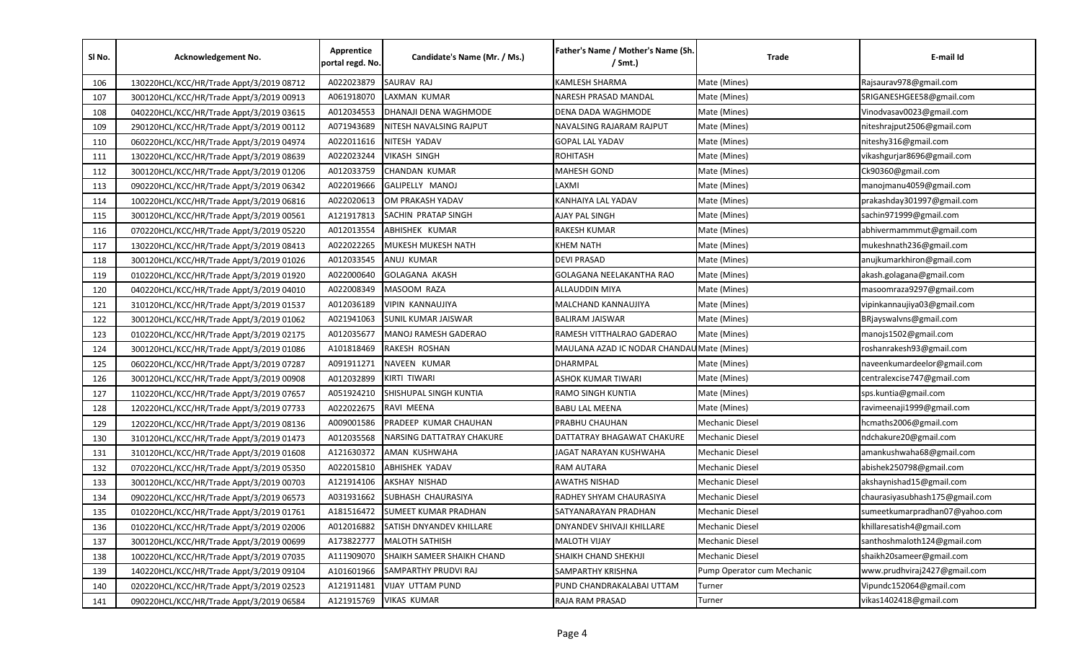| SI No. | Acknowledgement No.                      | Apprentice<br>portal regd. No. | Candidate's Name (Mr. / Ms.) | Father's Name / Mother's Name (Sh.<br>$/$ Smt.) | Trade                      | E-mail Id                      |
|--------|------------------------------------------|--------------------------------|------------------------------|-------------------------------------------------|----------------------------|--------------------------------|
| 106    | 130220HCL/KCC/HR/Trade Appt/3/2019 08712 | A022023879                     | SAURAV RAJ                   | KAMLESH SHARMA                                  | Mate (Mines)               | Rajsaurav978@gmail.com         |
| 107    | 300120HCL/KCC/HR/Trade Appt/3/2019 00913 | A061918070                     | LAXMAN KUMAR                 | NARESH PRASAD MANDAL                            | Mate (Mines)               | SRIGANESHGEE58@gmail.com       |
| 108    | 040220HCL/KCC/HR/Trade Appt/3/2019 03615 | A012034553                     | DHANAJI DENA WAGHMODE        | DENA DADA WAGHMODE                              | Mate (Mines)               | Vinodvasav0023@gmail.com       |
| 109    | 290120HCL/KCC/HR/Trade Appt/3/2019 00112 | A071943689                     | NITESH NAVALSING RAJPUT      | NAVALSING RAJARAM RAJPUT                        | Mate (Mines)               | niteshrajput2506@gmail.com     |
| 110    | 060220HCL/KCC/HR/Trade Appt/3/2019 04974 | A022011616                     | NITESH YADAV                 | GOPAL LAL YADAV                                 | Mate (Mines)               | niteshy316@gmail.com           |
| 111    | 130220HCL/KCC/HR/Trade Appt/3/2019 08639 | A022023244                     | VIKASH SINGH                 | ROHITASH                                        | Mate (Mines)               | vikashgurjar8696@gmail.com     |
| 112    | 300120HCL/KCC/HR/Trade Appt/3/2019 01206 | A012033759                     | CHANDAN KUMAR                | MAHESH GOND                                     | Mate (Mines)               | Ck90360@gmail.com              |
| 113    | 090220HCL/KCC/HR/Trade Appt/3/2019 06342 | A022019666                     | GALIPELLY MANOJ              | LAXMI                                           | Mate (Mines)               | manojmanu4059@gmail.com        |
| 114    | 100220HCL/KCC/HR/Trade Appt/3/2019 06816 | A022020613                     | OM PRAKASH YADAV             | KANHAIYA LAL YADAV                              | Mate (Mines)               | prakashday301997@gmail.com     |
| 115    | 300120HCL/KCC/HR/Trade Appt/3/2019 00561 | A121917813                     | SACHIN PRATAP SINGH          | AJAY PAL SINGH                                  | Mate (Mines)               | sachin971999@gmail.com         |
| 116    | 070220HCL/KCC/HR/Trade Appt/3/2019 05220 | A012013554                     | ABHISHEK KUMAR               | RAKESH KUMAR                                    | Mate (Mines)               | abhivermammmut@gmail.com       |
| 117    | 130220HCL/KCC/HR/Trade Appt/3/2019 08413 | A022022265                     | MUKESH MUKESH NATH           | KHEM NATH                                       | Mate (Mines)               | mukeshnath236@gmail.com        |
| 118    | 300120HCL/KCC/HR/Trade Appt/3/2019 01026 | A012033545                     | ANUJ KUMAR                   | DEVI PRASAD                                     | Mate (Mines)               | anujkumarkhiron@gmail.com      |
| 119    | 010220HCL/KCC/HR/Trade Appt/3/2019 01920 | A022000640                     | <b>GOLAGANA AKASH</b>        | GOLAGANA NEELAKANTHA RAO                        | Mate (Mines)               | akash.golagana@gmail.com       |
| 120    | 040220HCL/KCC/HR/Trade Appt/3/2019 04010 | A022008349                     | MASOOM RAZA                  | ALLAUDDIN MIYA                                  | Mate (Mines)               | masoomraza9297@gmail.com       |
| 121    | 310120HCL/KCC/HR/Trade Appt/3/2019 01537 | A012036189                     | VIPIN KANNAUJIYA             | MALCHAND KANNAUJIYA                             | Mate (Mines)               | vipinkannaujiya03@gmail.com    |
| 122    | 300120HCL/KCC/HR/Trade Appt/3/2019 01062 | A021941063                     | SUNIL KUMAR JAISWAR          | BALIRAM JAISWAR                                 | Mate (Mines)               | BRjayswalvns@gmail.com         |
| 123    | 010220HCL/KCC/HR/Trade Appt/3/2019 02175 | A012035677                     | MANOJ RAMESH GADERAO         | RAMESH VITTHALRAO GADERAO                       | Mate (Mines)               | manojs1502@gmail.com           |
| 124    | 300120HCL/KCC/HR/Trade Appt/3/2019 01086 | A101818469                     | RAKESH ROSHAN                | MAULANA AZAD IC NODAR CHANDA                    | Mate (Mines)               | roshanrakesh93@gmail.com       |
| 125    | 060220HCL/KCC/HR/Trade Appt/3/2019 07287 | A091911271                     | NAVEEN KUMAR                 | DHARMPAL                                        | Mate (Mines)               | naveenkumardeelor@gmail.com    |
| 126    | 300120HCL/KCC/HR/Trade Appt/3/2019 00908 | A012032899                     | KIRTI TIWARI                 | ASHOK KUMAR TIWARI                              | Mate (Mines)               | centralexcise747@gmail.com     |
| 127    | 110220HCL/KCC/HR/Trade Appt/3/2019 07657 | A051924210                     | SHISHUPAL SINGH KUNTIA       | RAMO SINGH KUNTIA                               | Mate (Mines)               | sps.kuntia@gmail.com           |
| 128    | 120220HCL/KCC/HR/Trade Appt/3/2019 07733 | A022022675                     | RAVI MEENA                   | BABU LAL MEENA                                  | Mate (Mines)               | ravimeenaji1999@gmail.com      |
| 129    | 120220HCL/KCC/HR/Trade Appt/3/2019 08136 | A009001586                     | PRADEEP KUMAR CHAUHAN        | PRABHU CHAUHAN                                  | <b>Mechanic Diesel</b>     | hcmaths2006@gmail.com          |
| 130    | 310120HCL/KCC/HR/Trade Appt/3/2019 01473 | A012035568                     | NARSING DATTATRAY CHAKURE    | DATTATRAY BHAGAWAT CHAKURE                      | Mechanic Diesel            | ndchakure20@gmail.com          |
| 131    | 310120HCL/KCC/HR/Trade Appt/3/2019 01608 | A121630372                     | AMAN KUSHWAHA                | JAGAT NARAYAN KUSHWAHA                          | Mechanic Diesel            | amankushwaha68@gmail.com       |
| 132    | 070220HCL/KCC/HR/Trade Appt/3/2019 05350 | A022015810                     | <b>ABHISHEK YADAV</b>        | RAM AUTARA                                      | <b>Mechanic Diesel</b>     | abishek250798@gmail.com        |
| 133    | 300120HCL/KCC/HR/Trade Appt/3/2019 00703 | A121914106                     | AKSHAY NISHAD                | <b>AWATHS NISHAD</b>                            | Mechanic Diesel            | akshaynishad15@gmail.com       |
| 134    | 090220HCL/KCC/HR/Trade Appt/3/2019 06573 | A031931662                     | SUBHASH CHAURASIYA           | RADHEY SHYAM CHAURASIYA                         | Mechanic Diesel            | chaurasiyasubhash175@gmail.com |
| 135    | 010220HCL/KCC/HR/Trade Appt/3/2019 01761 | A181516472                     | SUMEET KUMAR PRADHAN         | SATYANARAYAN PRADHAN                            | <b>Mechanic Diesel</b>     | sumeetkumarpradhan07@yahoo.com |
| 136    | 010220HCL/KCC/HR/Trade Appt/3/2019 02006 | A012016882                     | SATISH DNYANDEV KHILLARE     | DNYANDEV SHIVAJI KHILLARE                       | <b>Mechanic Diesel</b>     | khillaresatish4@gmail.com      |
| 137    | 300120HCL/KCC/HR/Trade Appt/3/2019 00699 | A173822777                     | <b>MALOTH SATHISH</b>        | MALOTH VIJAY                                    | Mechanic Diesel            | santhoshmaloth124@gmail.com    |
| 138    | 100220HCL/KCC/HR/Trade Appt/3/2019 07035 | A111909070                     | SHAIKH SAMEER SHAIKH CHAND   | SHAIKH CHAND SHEKHJI                            | Mechanic Diesel            | shaikh20sameer@gmail.com       |
| 139    | 140220HCL/KCC/HR/Trade Appt/3/2019 09104 | A101601966                     | SAMPARTHY PRUDVI RAJ         | SAMPARTHY KRISHNA                               | Pump Operator cum Mechanic | www.prudhviraj2427@gmail.com   |
| 140    | 020220HCL/KCC/HR/Trade Appt/3/2019 02523 | A121911481                     | <b>VIJAY UTTAM PUND</b>      | PUND CHANDRAKALABAI UTTAM                       | Turner                     | Vipundc152064@gmail.com        |
| 141    | 090220HCL/KCC/HR/Trade Appt/3/2019 06584 | A121915769                     | <b>VIKAS KUMAR</b>           | RAJA RAM PRASAD                                 | Turner                     | vikas1402418@gmail.com         |